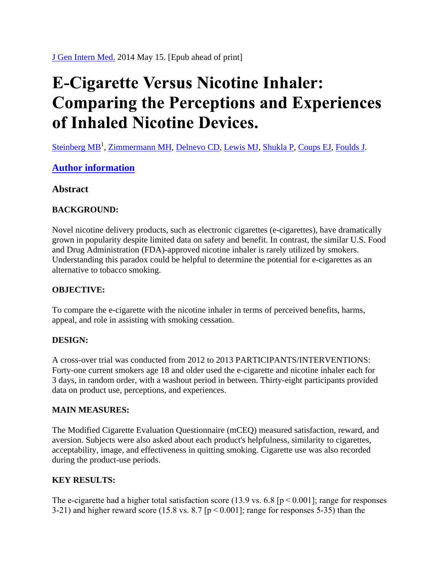# **E-Cigarette Versus Nicotine Inhaler: Comparing the Perceptions and Experiences** of Inhaled Nicotine Devices.

Steinberg MB<sup>1</sup>, Zimmermann MH, <u>Delnevo CD, Lewis MJ, Shukla P, Coups EJ, Foulds J</u>.

# **Author information**

## **Abstract**

## **BACKGROUND:**

Novel nicotine delivery products, such as electronic cigarettes (e-cigarettes), have dramatically grown in popularity despite limited data on safety and benefit. In contrast, the similar U.S. Food and Drug Administration (FDA)-approved nicotine inhaler is rarely utilized by smokers. Understanding this paradox could be helpful to determine the potential for e-cigarettes as an alternative to tobacco smoking.

#### **OBJECTIVE:**

To compare the e-cigarette with the nicotine inhaler in terms of perceived benefits, harms, appeal, and role in assisting with smoking cessation.

#### **DESIGN:**

A cross-over trial was conducted from 2012 to 2013 PARTICIPANTS/INTERVENTIONS: Forty-one current smokers age 18 and older used the e-cigarette and nicotine inhaler each for 3 days, in random order, with a washout period in between. Thirty-eight participants provided data on product use, perceptions, and experiences.

#### **MAIN MEASURES:**

The Modified Cigarette Evaluation Questionnaire (mCEQ) measured satisfaction, reward, and aversion. Subjects were also asked about each product's helpfulness, similarity to cigarettes, acceptability, image, and effectiveness in quitting smoking. Cigarette use was also recorded during the product-use periods.

#### **KEY RESULTS:**

The e-cigarette had a higher total satisfaction score (13.9 vs. 6.8 [ $p < 0.001$ ]; range for responses 3-21) and higher reward score (15.8 vs.  $8.7$  [ $p < 0.001$ ]; range for responses 5-35) than the